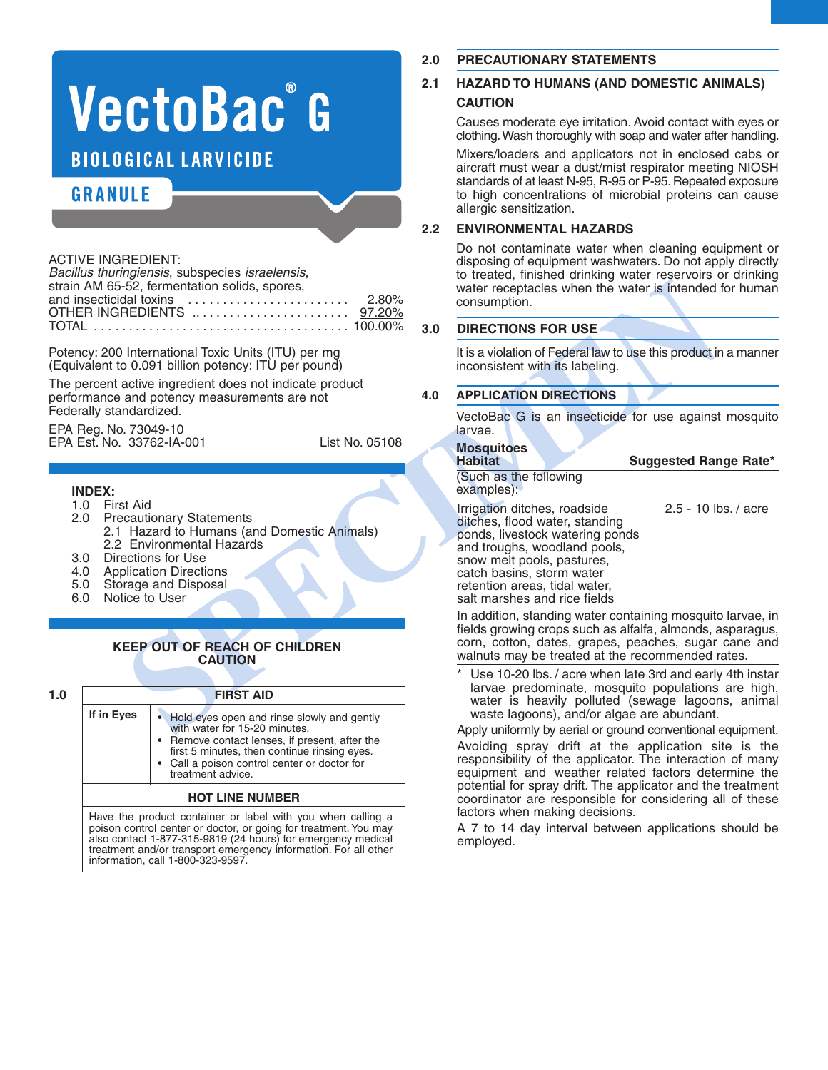# VectoBac<sup>®</sup> G **BIOLOGICAL LARVICIDE**

# **GRANULE**

#### ACTIVE INGREDIENT:

| Bacillus thuringiensis, subspecies israelensis,                           |  |
|---------------------------------------------------------------------------|--|
| strain AM 65-52, fermentation solids, spores,                             |  |
| and insecticidal toxins $\ldots \ldots \ldots \ldots \ldots \ldots$ 2.80% |  |
|                                                                           |  |
|                                                                           |  |

Potency: 200 International Toxic Units (ITU) per mg (Equivalent to 0.091 billion potency: ITU per pound)

The percent active ingredient does not indicate product performance and potency measurements are not Federally standardized.

EPA Reg. No. 73049-10 EPA Est. No. 33762-IA-001 List No. 05108

## **INDEX:**

- 1.0 First Aid
- **Precautionary Statements** 2.1 Hazard to Humans (and Domestic Animals) 2.2 Environmental Hazards
- 
- 3.0 Directions for Use<br>4.0 Application Direction
- 4.0 Application Directions<br>5.0 Storage and Disposal 5.0 Storage and Disposal<br>6.0 Notice to User
- Notice to User

# **KEEP OUT OF REACH OF CHILDREN CAUTION**

# **1.0 FIRST AID If in Eyes** • Hold eyes open and rinse slowly and gently with water for 15-20 minutes. • Remove contact lenses, if present, after the first 5 minutes, then continue rinsing eyes. Call a poison control center or doctor for treatment advice. **HOT LINE NUMBER**

Have the product container or label with you when calling a poison control center or doctor, or going for treatment. You may also contact 1-877-315-9819 (24 hours) for emergency medical treatment and/or transport emergency information. For all other information, call 1-800-323-9597.

## **2.0 PRECAUTIONARY STATEMENTS**

# **2.1 HAZARD TO HUMANS (AND DOMESTIC ANIMALS) CAUTION**

Causes moderate eye irritation. Avoid contact with eyes or clothing.Wash thoroughly with soap and water after handling.

Mixers/loaders and applicators not in enclosed cabs or aircraft must wear a dust/mist respirator meeting NIOSH standards of at least N-95, R-95 or P-95. Repeated exposure to high concentrations of microbial proteins can cause allergic sensitization.

## **2.2 ENVIRONMENTAL HAZARDS**

Do not contaminate water when cleaning equipment or disposing of equipment washwaters. Do not apply directly to treated, finished drinking water reservoirs or drinking water receptacles when the water is intended for human consumption.

#### **3.0 DIRECTIONS FOR USE**

It is a violation of Federal law to use this product in a manner inconsistent with its labeling.

## **4.0 APPLICATION DIRECTIONS**

VectoBac G is an insecticide for use against mosquito larvae.

# **Mosquitoes**

(Such as the following examples):

Solutions and the internaction of the state internaction and the state internaction and political TOXIC Units (ITU) per model and the control of the properties internactions of the state of the control of the state of the Irrigation ditches, roadside 2.5 - 10 lbs. / acre ditches, flood water, standing ponds, livestock watering ponds and troughs, woodland pools, snow melt pools, pastures, catch basins, storm water retention areas, tidal water, salt marshes and rice fields

**Habitat Suggested Range Rate\***

In addition, standing water containing mosquito larvae, in fields growing crops such as alfalfa, almonds, asparagus, corn, cotton, dates, grapes, peaches, sugar cane and walnuts may be treated at the recommended rates.

Use 10-20 lbs. / acre when late 3rd and early 4th instar larvae predominate, mosquito populations are high, water is heavily polluted (sewage lagoons, animal waste lagoons), and/or algae are abundant.

Apply uniformly by aerial or ground conventional equipment. Avoiding spray drift at the application site is the responsibility of the applicator. The interaction of many equipment and weather related factors determine the potential for spray drift. The applicator and the treatment coordinator are responsible for considering all of these factors when making decisions.

A 7 to 14 day interval between applications should be employed.